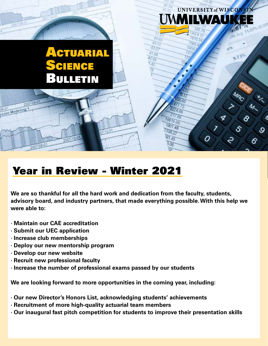### **CTUARIAL** Science Bulletin

## Year in Review - Winter 2021

**We are so thankful for all the hard work and dedication from the faculty, students, advisory board, and industry partners, that made everything possible. With this help we were able to:**

UNIVERSITY of WISCONS

9.73

ઙ

**LWA** 

O

6615.00  $901.48$ 

- **· Maintain our CAE accreditation**
- **· Submit our UEC application**

Modeling

- **· Increase club memberships**
- **· Deploy our new mentorship program**
- **· Develop our new website**
- **· Recruit new professional faculty**
- **· Increase the number of professional exams passed by our students**

**We are looking forward to more opportunities in the coming year, including:**

- **· Our new Director's Honors List, acknowledging students' achievements**
- **· Recruitment of more high-quality actuarial team members**
- **· Our inaugural fast pitch competition for students to improve their presentation skills**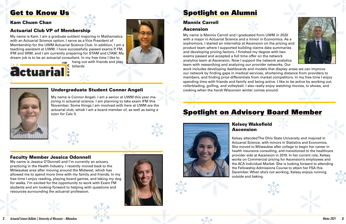







## Get to Know Us

#### Kam Chuen Chan

#### Actuarial Club VP of Membership

 $L_{M}$  hang out with friends and play billards



My name is Kam. I am a graduate sutdent majoring in Mathematics with an Actuarial Science option. I serve as a Vice President of Membership for the UWM Actuarial Science Club. In addition, I am a teaching assistant at UWM. I have successfully passed exams P, FM, IFM and SRM, and I am currently preparing for STAM and LTAM. My dream job is to be an actuarial consultant. In my free time I like to





#### Mannix Carroll Ascension

My name is Mannix Carroll and I graduated from UWM in 2020 with a major in Actuarial Science and a minor in Economics. As a sophomore, I started an internship at Ascension on the pricing and product team where I supported building claims data summaries and developing pricing factors. I finished my degree with two exams passed and accepted a full time offer on the network analytics team at Ascension. Now I support the network analytics team with researching and analyzing our provider networks. Our work includes developing dashboards and models that display areas we can improve our network by finding gaps in medical services, shortening distance from providers to members, and finding price differentials from market competitors. In my free time I enjoy spending time with friends and family and being active. I like to be active by working out, rollerblading, golfing, and volleyball. I also really enjoy watching movies, tv shows, and cooking when the harsh Wisconsin winter comes around.

# Spotlight on Advisory Board Member



#### Kelsey Wakefield Ascension

Kelsey attended The Ohio State University and majored in Actuarial Science, with minors in Statistics and Economics. She moved to Milwaukee after college to begin her career in health insurance consulting, and transitioned to the healthcare provider side at Ascension in 2019. In her current role, Kelsey works on Commercial pricing for Ascension's employees and the ACA Individual Market. She is looking forward to attending the Fellowship Admissions Course to attain her FSA this December. When she's not working, Kelsey enjoys running outside and baking.



My name is Connor Angeli. I am a senior at UWM this year majoring in actuarial science. I am planning to take exam IFM this November. Some things I am involved with here at UWM are the actuarial club, which I am a board member of, as well as being a tutor for Calc II.



My name is Jessica O'Donnell and I'm currently an actuary practicing in the Health Industry. I recently moved back to the Milwaukee area after moving around the Midwest, which has allowed me to spend more time with my family and friends. In my free time I enjoy reading, playing board games, and taking my dog for walks. I'm excited for the opportunity to work with Exam FM students and am looking forward to helping with questions and resources surrounding the actuarial profession.